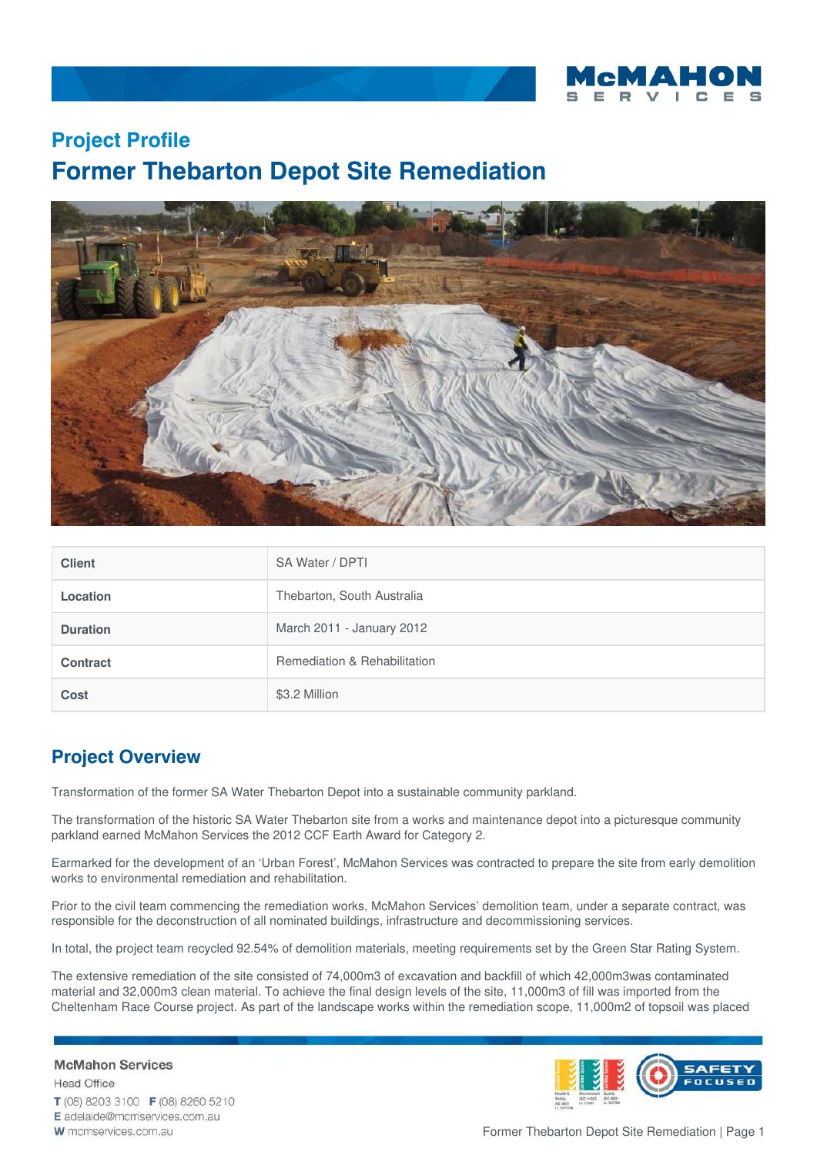

# **Project Profile Former Thebarton Depot Site Remediation**



| <b>Client</b>   | SA Water / DPTI              |
|-----------------|------------------------------|
| Location        | Thebarton, South Australia   |
| <b>Duration</b> | March 2011 - January 2012    |
| <b>Contract</b> | Remediation & Rehabilitation |
| Cost            | \$3.2 Million                |

# **Project Overview**

**McMahon Services** 

W mcmservices.com.au

**Head Office** 

Transformation of the former SA Water Thebarton Depot into a sustainable community parkland.

The transformation of the historic SA Water Thebarton site from a works and maintenance depot into a picturesque community parkland earned McMahon Services the 2012 CCF Earth Award for Category 2.

Earmarked for the development of an 'Urban Forest', McMahon Services was contracted to prepare the site from early demolition works to environmental remediation and rehabilitation.

Prior to the civil team commencing the remediation works, McMahon Services' demolition team, under a separate contract, was responsible for the deconstruction of all nominated buildings, infrastructure and decommissioning services.

In total, the project team recycled 92.54% of demolition materials, meeting requirements set by the Green Star Rating System.

The extensive remediation of the site consisted of 74,000m3 of excavation and backfill of which 42,000m3was contaminated material and 32,000m3 clean material. To achieve the final design levels of the site, 11,000m3 of fill was imported from the Cheltenham Race Course project. As part of the landscape works within the remediation scope, 11,000m2 of topsoil was placed





Former Thebarton Depot Site Remediation | Page 1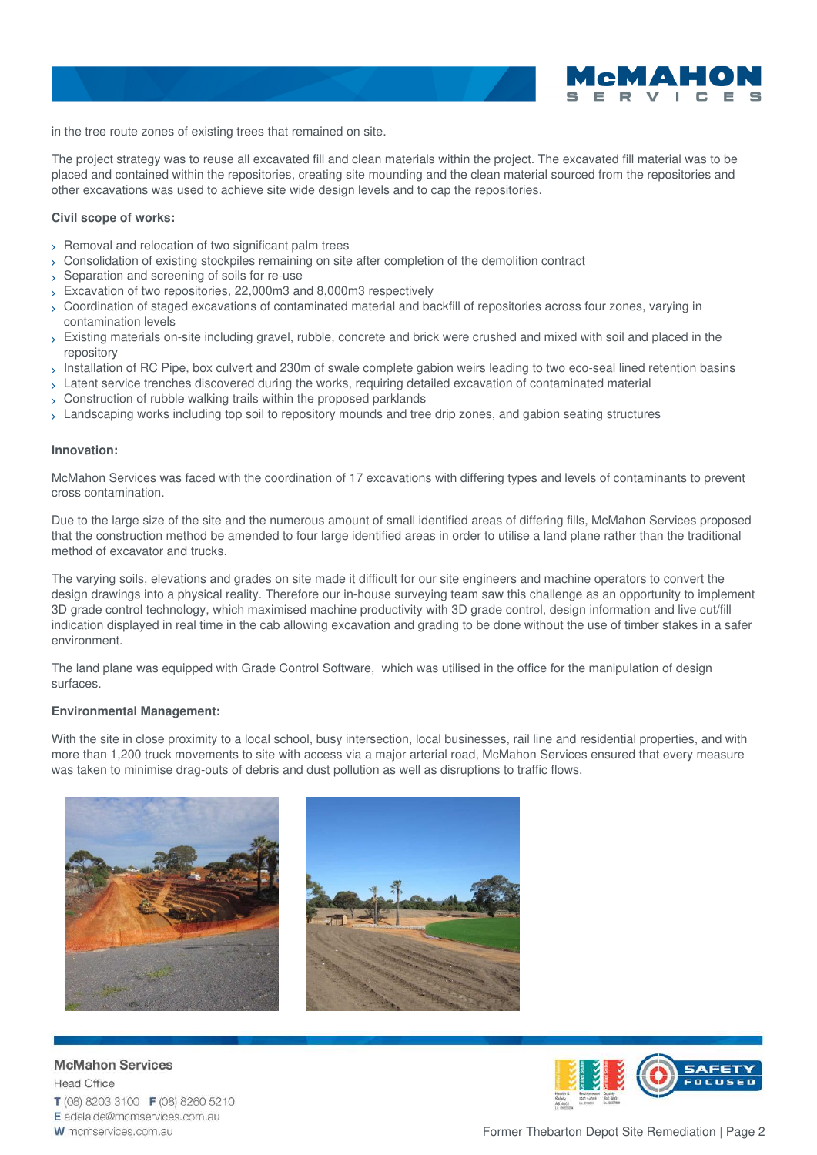

in the tree route zones of existing trees that remained on site.

The project strategy was to reuse all excavated fill and clean materials within the project. The excavated fill material was to be placed and contained within the repositories, creating site mounding and the clean material sourced from the repositories and other excavations was used to achieve site wide design levels and to cap the repositories.

## **Civil scope of works:**

- $>$  Removal and relocation of two significant palm trees
- > Consolidation of existing stockpiles remaining on site after completion of the demolition contract
- > Separation and screening of soils for re-use
- Excavation of two repositories, 22,000m3 and 8,000m3 respectively
- Coordination of staged excavations of contaminated material and backfill of repositories across four zones, varying in contamination levels
- $>$  Existing materials on-site including gravel, rubble, concrete and brick were crushed and mixed with soil and placed in the repository
- $_{\rm >}$  Installation of RC Pipe, box culvert and 230m of swale complete gabion weirs leading to two eco-seal lined retention basins
- > Latent service trenches discovered during the works, requiring detailed excavation of contaminated material
- Construction of rubble walking trails within the proposed parklands
- Landscaping works including top soil to repository mounds and tree drip zones, and gabion seating structures

### **Innovation:**

McMahon Services was faced with the coordination of 17 excavations with differing types and levels of contaminants to prevent cross contamination.

Due to the large size of the site and the numerous amount of small identified areas of differing fills, McMahon Services proposed that the construction method be amended to four large identified areas in order to utilise a land plane rather than the traditional method of excavator and trucks.

The varying soils, elevations and grades on site made it difficult for our site engineers and machine operators to convert the design drawings into a physical reality. Therefore our in-house surveying team saw this challenge as an opportunity to implement 3D grade control technology, which maximised machine productivity with 3D grade control, design information and live cut/fill indication displayed in real time in the cab allowing excavation and grading to be done without the use of timber stakes in a safer environment.

The land plane was equipped with Grade Control Software, which was utilised in the office for the manipulation of design surfaces.

### **Environmental Management:**

With the site in close proximity to a local school, busy intersection, local businesses, rail line and residential properties, and with more than 1,200 truck movements to site with access via a major arterial road, McMahon Services ensured that every measure was taken to minimise drag-outs of debris and dust pollution as well as disruptions to traffic flows.





**McMahon Services Head Office** T (08) 8203 3100 F (08) 8260 5210 E adelaide@mcmservices.com.au W mcmservices.com.au



Former Thebarton Depot Site Remediation | Page 2